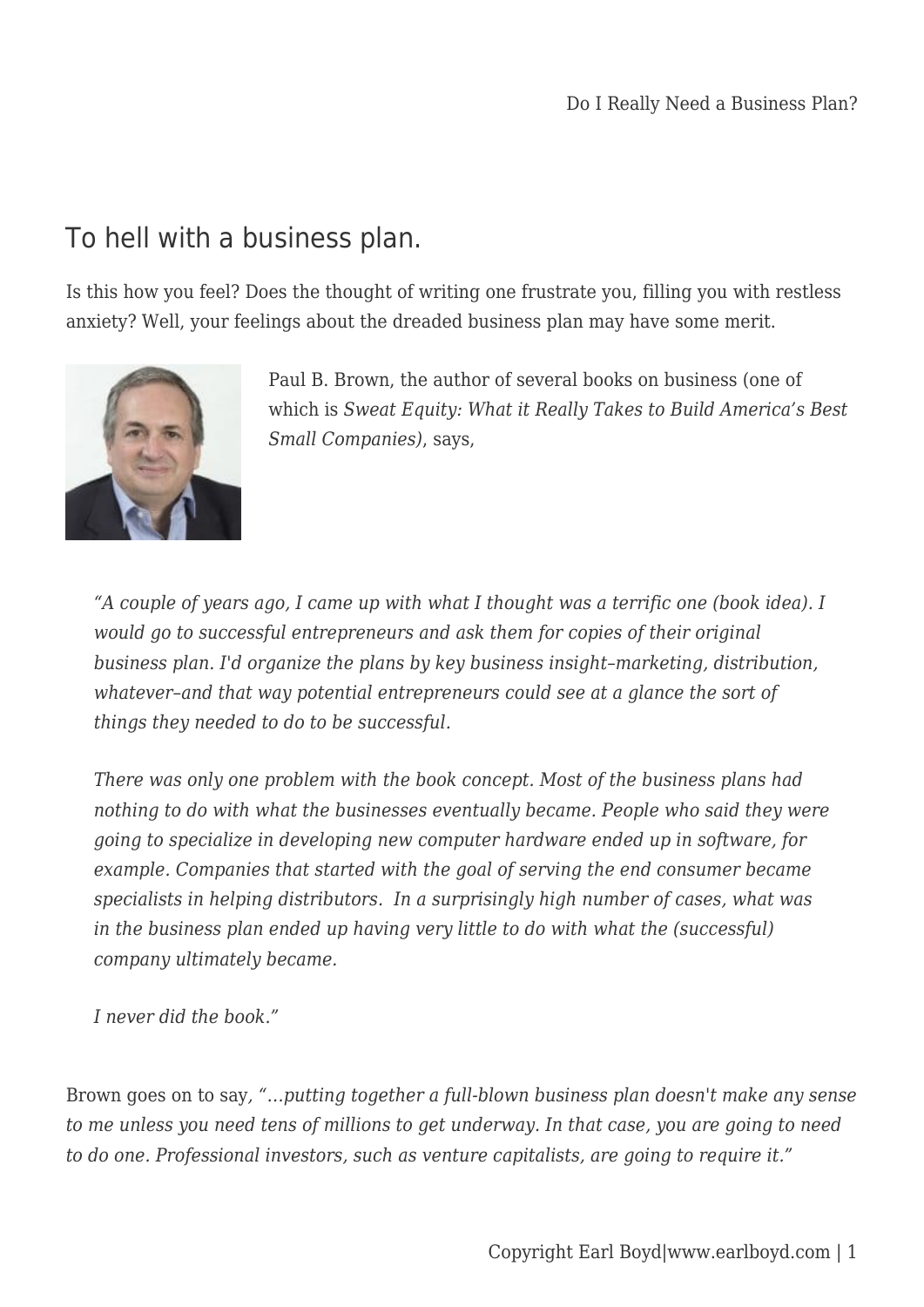## To hell with a business plan.

Is this how you feel? Does the thought of writing one frustrate you, filling you with restless anxiety? Well, your feelings about the dreaded business plan may have some merit.



Paul B. Brown, the author of several books on business (one of which is *Sweat Equity: What it Really Takes to Build America's Best Small Companies)*, says,

*"A couple of years ago, I came up with what I thought was a terrific one (book idea). I would go to successful entrepreneurs and ask them for copies of their original business plan. I'd organize the plans by key business insight–marketing, distribution, whatever–and that way potential entrepreneurs could see at a glance the sort of things they needed to do to be successful.*

*There was only one problem with the book concept. Most of the business plans had nothing to do with what the businesses eventually became. People who said they were going to specialize in developing new computer hardware ended up in software, for example. Companies that started with the goal of serving the end consumer became specialists in helping distributors. In a surprisingly high number of cases, what was in the business plan ended up having very little to do with what the (successful) company ultimately became.*

*I never did the book."*

Brown goes on to say*, "…putting together a full-blown business plan doesn't make any sense to me unless you need tens of millions to get underway. In that case, you are going to need to do one. Professional investors, such as venture capitalists, are going to require it."*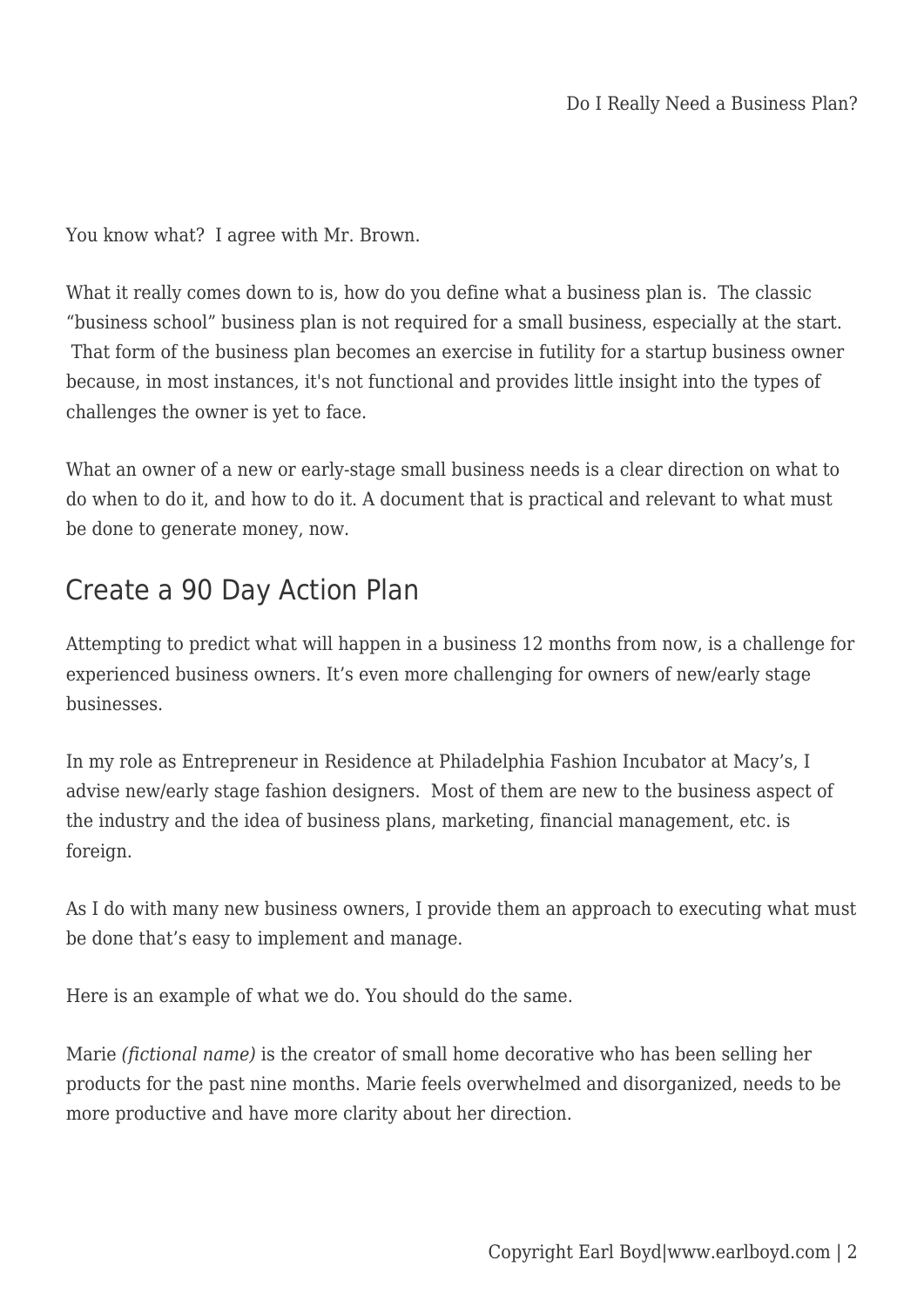You know what? I agree with Mr. Brown.

What it really comes down to is, how do you define what a business plan is. The classic "business school" business plan is not required for a small business, especially at the start. That form of the business plan becomes an exercise in futility for a startup business owner because, in most instances, it's not functional and provides little insight into the types of challenges the owner is yet to face.

What an owner of a new or early-stage small business needs is a clear direction on what to do when to do it, and how to do it. A document that is practical and relevant to what must be done to generate money, now.

## Create a 90 Day Action Plan

Attempting to predict what will happen in a business 12 months from now, is a challenge for experienced business owners. It's even more challenging for owners of new/early stage businesses.

In my role as Entrepreneur in Residence at Philadelphia Fashion Incubator at Macy's, I advise new/early stage fashion designers. Most of them are new to the business aspect of the industry and the idea of business plans, marketing, financial management, etc. is foreign.

As I do with many new business owners, I provide them an approach to executing what must be done that's easy to implement and manage.

Here is an example of what we do. You should do the same.

Marie *(fictional name)* is the creator of small home decorative who has been selling her products for the past nine months. Marie feels overwhelmed and disorganized, needs to be more productive and have more clarity about her direction.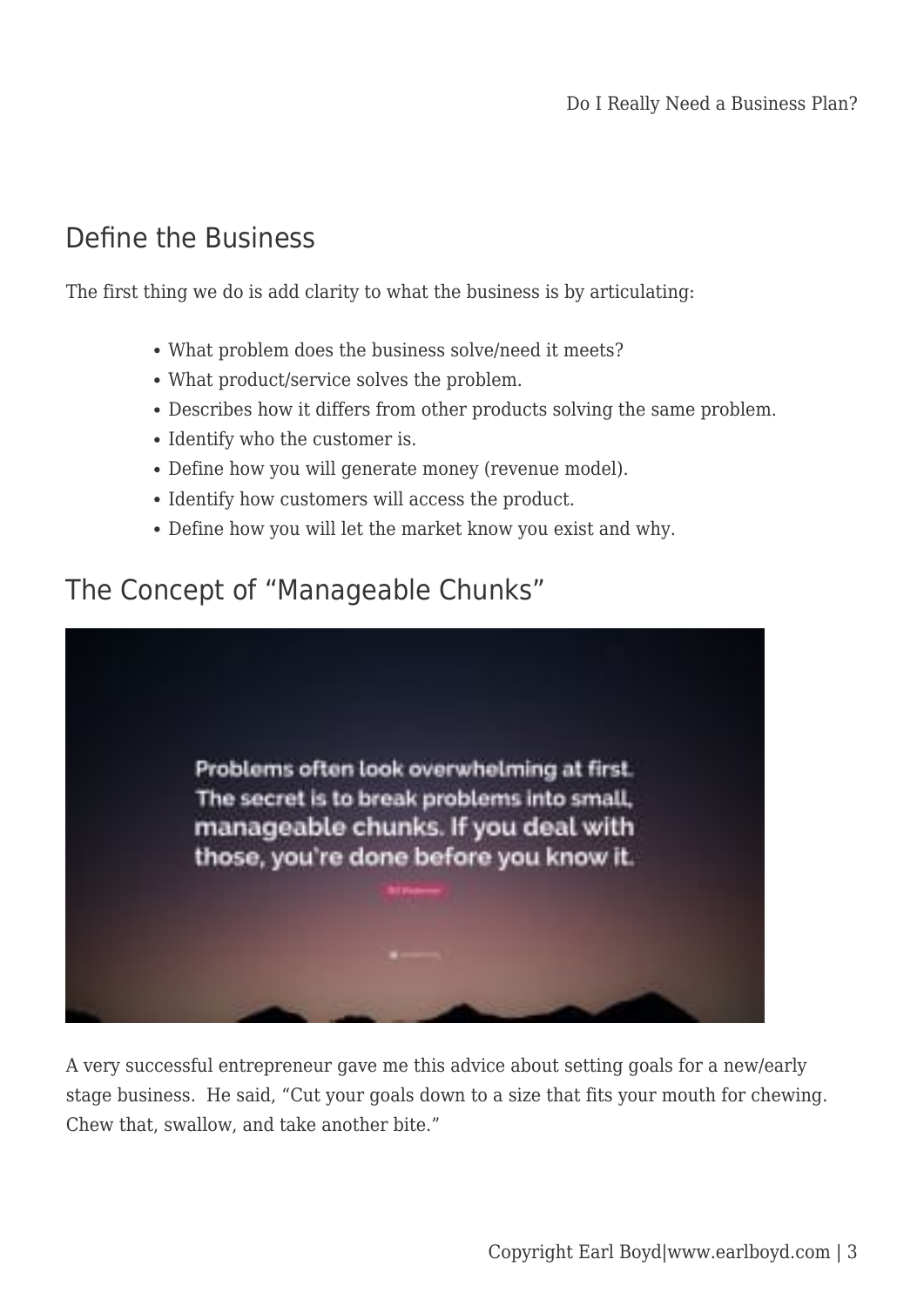## Define the Business

The first thing we do is add clarity to what the business is by articulating:

- What problem does the business solve/need it meets?
- What product/service solves the problem.
- Describes how it differs from other products solving the same problem.
- Identify who the customer is.
- Define how you will generate money (revenue model).
- Identify how customers will access the product.
- Define how you will let the market know you exist and why.

## The Concept of "Manageable Chunks"



A very successful entrepreneur gave me this advice about setting goals for a new/early stage business. He said, "Cut your goals down to a size that fits your mouth for chewing. Chew that, swallow, and take another bite."